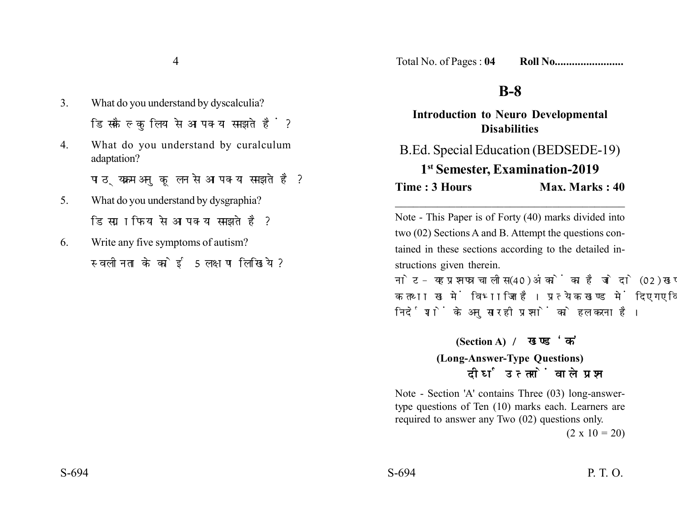4

- 3. What do you understand by dyscalculia? डिसकैल्कलिया से आप क्या समझते हैं?
- 4. What do you understand by curalculum adaptation?

पाठ्यक्रम अनुकूलन से आप क्या समझते है?

- 5. What do you understand by dysgraphia? डिसग्राफिया से आप क्या समझते है?
- 6. Write any five symptoms of autism? स्वलीनता के कोई 5 लक्षण लिखिये ?

## **B-8**

**Introduction to Neuro Developmental Disabilities** B.Ed. Special Education (BEDSEDE-19) **1st Semester, Examination-2019**

**Time : 3 Hours Max. Marks : 40** 

Note - This Paper is of Forty (40) marks divided into two (02) Sections A and B. Attempt the questions contained in these sections according to the detailed instructions given therein.

\_\_\_\_\_\_\_\_\_\_\_\_\_\_\_\_\_\_\_\_\_\_\_\_\_\_\_\_\_\_\_\_\_\_\_\_\_\_

नोट- यह प्रश्नपत्र चालीस (40) अंकों का है जो दो (02) खण्डों, क तथा ख में विभाजित है। प्रत्येक खण्ड में दिए गए विस्तत निर्देशों के अनुसार ही प्रश्नों को हल करना है।

**(Section A)** 

## **(Long-Answer-Type Questions)** दीर्घ उत्तरों वाले प्रश्न

Note - Section 'A' contains Three (03) long-answertype questions of Ten (10) marks each. Learners are required to answer any Two (02) questions only.

 $(2 \times 10 = 20)$